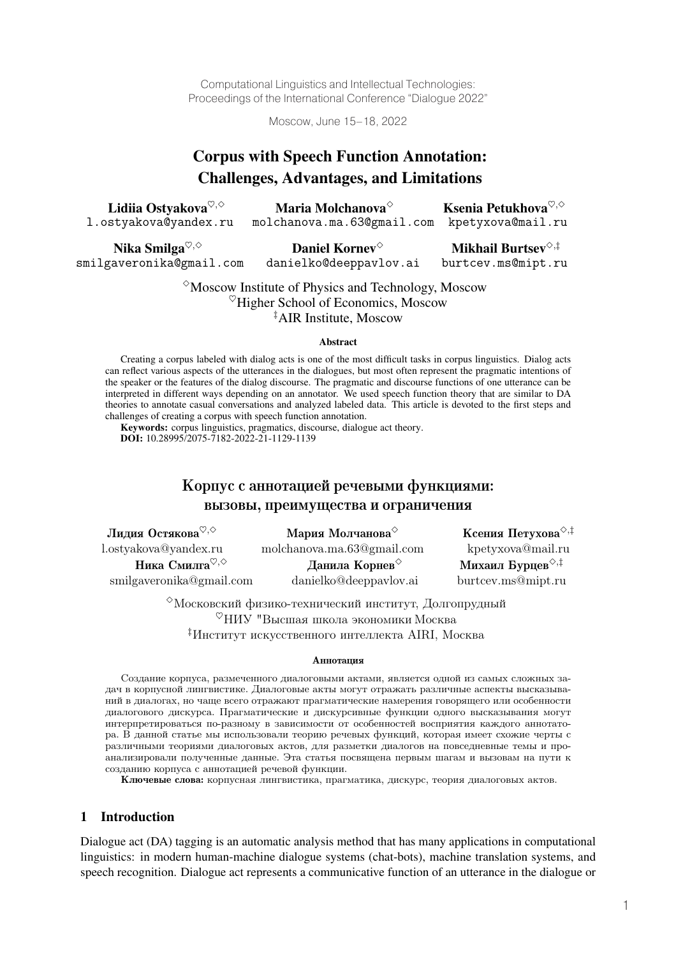Computational Linguistics and Intellectual Technologies: Proceedings of the International Conference "Dialogue 2022"

Moscow, June 15–18, 2022

# Corpus with Speech Function Annotation: Challenges, Advantages, and Limitations

| Lidiia Ostyakova $\heartsuit, \diamond$ | Maria Molchanova $^{\diamond}$               | Ksenia Petukhova $\heartsuit, \diamond$ |
|-----------------------------------------|----------------------------------------------|-----------------------------------------|
| l.ostyakova@yandex.ru                   | molchanova.ma.63@gmail.com kpetyxova@mail.ru |                                         |

Nika Smilga<sup>♡,◇</sup> smilgaveronika@gmail.com

Daniel Kornev<sup></sup> danielko@deeppavlov.ai

Mikhail Burtsev $\diamond$ , $\ddagger$ burtcev.ms@mipt.ru

 $\degree$ Moscow Institute of Physics and Technology, Moscow  $\%$ Higher School of Economics, Moscow ‡ AIR Institute, Moscow

#### Abstract

Creating a corpus labeled with dialog acts is one of the most difficult tasks in corpus linguistics. Dialog acts can reflect various aspects of the utterances in the dialogues, but most often represent the pragmatic intentions of the speaker or the features of the dialog discourse. The pragmatic and discourse functions of one utterance can be interpreted in different ways depending on an annotator. We used speech function theory that are similar to DA theories to annotate casual conversations and analyzed labeled data. This article is devoted to the first steps and challenges of creating a corpus with speech function annotation.

Keywords: corpus linguistics, pragmatics, discourse, dialogue act theory. DOI: 10.28995/2075-7182-2022-21-1129-1139

# Корпус с аннотацией речевыми функциями: вызовы, преимущества и ограничения

| Лидия Остякова <sup>♡,◇</sup>                            | Мария Молчанова <sup><math>\diamond</math></sup> | Ксения Петухова $\diamond, \ddagger$ |
|----------------------------------------------------------|--------------------------------------------------|--------------------------------------|
| l.ostyakova@yandex.ru                                    | molchanova.ma.63@gmail.com                       | kpetyxova@mail.ru                    |
| Ника Смилга <sup><math>\heartsuit, \diamond</math></sup> | Данила Корнев                                    | Михаил Бурцев $\diamond$ , $\dagger$ |
| smilgaveronika@gmail.com                                 | danielko@deeppavlov.ai                           | burtcey.ms@mipt.ru                   |

 $^{\diamond}$ Московский физико-технический институт, Долгопрудный  $^{\heartsuit}$ НИУ "Высшая школа экономики Москва ‡Институт искусственного интеллекта AIRI, Москва

#### Аннотация

Создание корпуса, размеченного диалоговыми актами, является одной из самых сложных задач в корпусной лингвистике. Диалоговые акты могут отражать различные аспекты высказываний в диалогах, но чаще всего отражают прагматические намерения говорящего или особенности диалогового дискурса. Прагматические и дискурсивные функции одного высказывания могут интерпретироваться по-разному в зависимости от особенностей восприятия каждого аннотатора. В данной статье мы использовали теорию речевых функций, которая имеет схожие черты с различными теориями диалоговых актов, для разметки диалогов на повседневные темы и проанализировали полученные данные. Эта статья посвящена первым шагам и вызовам на пути к созданию корпуса с аннотацией речевой функции.

Ключевые слова: корпусная лингвистика, прагматика, дискурс, теория диалоговых актов.

## 1 Introduction

Dialogue act (DA) tagging is an automatic analysis method that has many applications in computational linguistics: in modern human-machine dialogue systems (chat-bots), machine translation systems, and speech recognition. Dialogue act represents a communicative function of an utterance in the dialogue or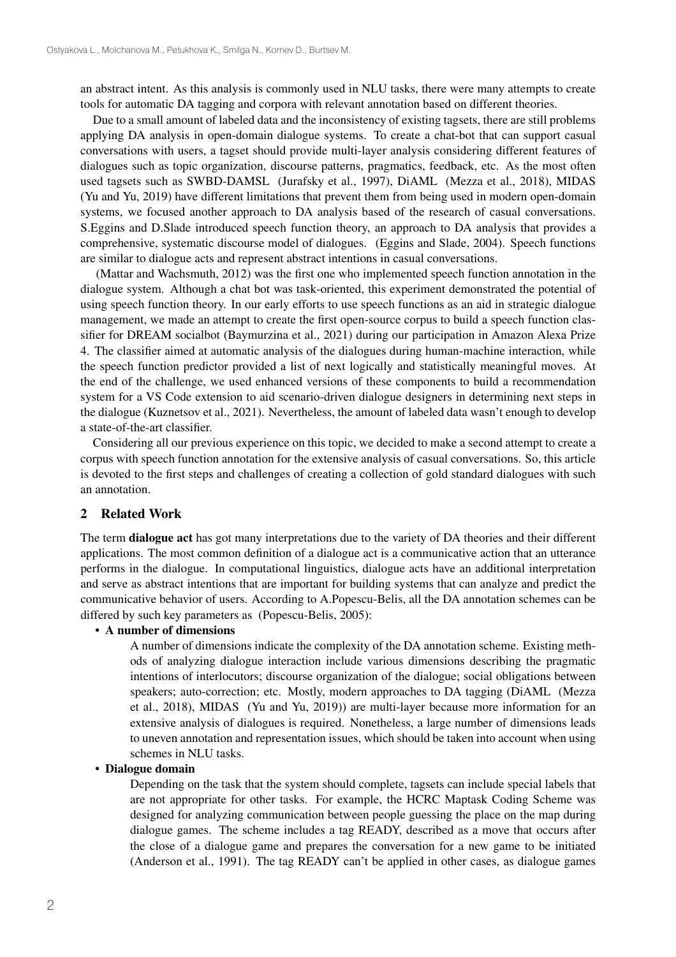an abstract intent. As this analysis is commonly used in NLU tasks, there were many attempts to create tools for automatic DA tagging and corpora with relevant annotation based on different theories.

Due to a small amount of labeled data and the inconsistency of existing tagsets, there are still problems applying DA analysis in open-domain dialogue systems. To create a chat-bot that can support casual conversations with users, a tagset should provide multi-layer analysis considering different features of dialogues such as topic organization, discourse patterns, pragmatics, feedback, etc. As the most often used tagsets such as SWBD-DAMSL (Jurafsky et al., 1997), DiAML (Mezza et al., 2018), MIDAS (Yu and Yu, 2019) have different limitations that prevent them from being used in modern open-domain systems, we focused another approach to DA analysis based of the research of casual conversations. S.Eggins and D.Slade introduced speech function theory, an approach to DA analysis that provides a comprehensive, systematic discourse model of dialogues. (Eggins and Slade, 2004). Speech functions are similar to dialogue acts and represent abstract intentions in casual conversations.

(Mattar and Wachsmuth, 2012) was the first one who implemented speech function annotation in the dialogue system. Although a chat bot was task-oriented, this experiment demonstrated the potential of using speech function theory. In our early efforts to use speech functions as an aid in strategic dialogue management, we made an attempt to create the first open-source corpus to build a speech function classifier for DREAM socialbot (Baymurzina et al., 2021) during our participation in Amazon Alexa Prize 4. The classifier aimed at automatic analysis of the dialogues during human-machine interaction, while the speech function predictor provided a list of next logically and statistically meaningful moves. At the end of the challenge, we used enhanced versions of these components to build a recommendation system for a VS Code extension to aid scenario-driven dialogue designers in determining next steps in the dialogue (Kuznetsov et al., 2021). Nevertheless, the amount of labeled data wasn't enough to develop a state-of-the-art classifier.

Considering all our previous experience on this topic, we decided to make a second attempt to create a corpus with speech function annotation for the extensive analysis of casual conversations. So, this article is devoted to the first steps and challenges of creating a collection of gold standard dialogues with such an annotation.

#### 2 Related Work

The term dialogue act has got many interpretations due to the variety of DA theories and their different applications. The most common definition of a dialogue act is a communicative action that an utterance performs in the dialogue. In computational linguistics, dialogue acts have an additional interpretation and serve as abstract intentions that are important for building systems that can analyze and predict the communicative behavior of users. According to A.Popescu-Belis, all the DA annotation schemes can be differed by such key parameters as (Popescu-Belis, 2005):

## • A number of dimensions

A number of dimensions indicate the complexity of the DA annotation scheme. Existing methods of analyzing dialogue interaction include various dimensions describing the pragmatic intentions of interlocutors; discourse organization of the dialogue; social obligations between speakers; auto-correction; etc. Mostly, modern approaches to DA tagging (DiAML (Mezza et al., 2018), MIDAS (Yu and Yu, 2019)) are multi-layer because more information for an extensive analysis of dialogues is required. Nonetheless, a large number of dimensions leads to uneven annotation and representation issues, which should be taken into account when using schemes in NLU tasks.

#### • Dialogue domain

Depending on the task that the system should complete, tagsets can include special labels that are not appropriate for other tasks. For example, the HCRC Maptask Coding Scheme was designed for analyzing communication between people guessing the place on the map during dialogue games. The scheme includes a tag READY, described as a move that occurs after the close of a dialogue game and prepares the conversation for a new game to be initiated (Anderson et al., 1991). The tag READY can't be applied in other cases, as dialogue games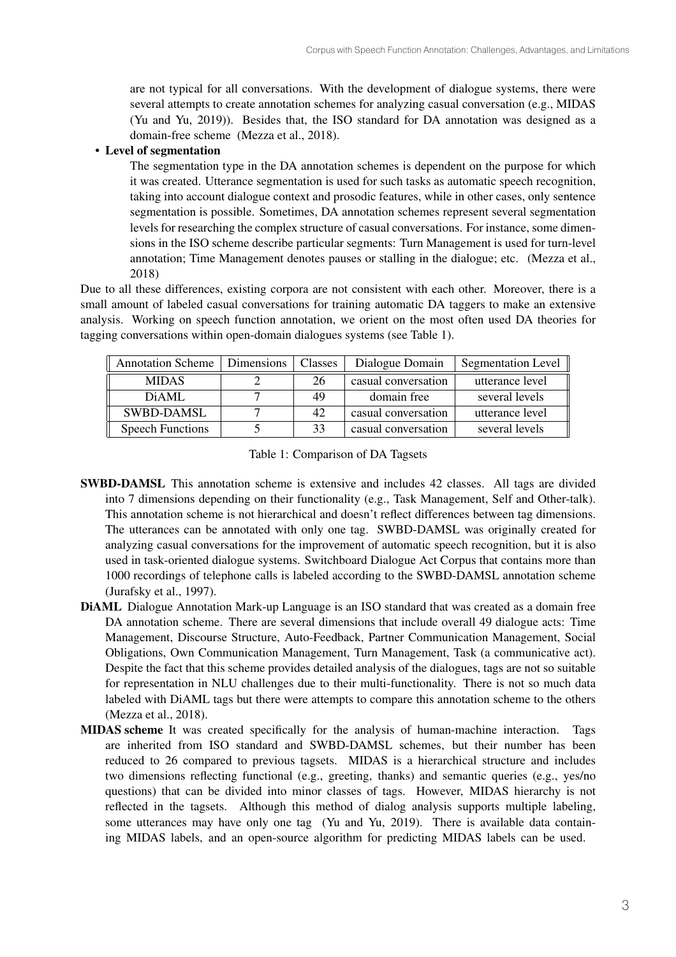are not typical for all conversations. With the development of dialogue systems, there were several attempts to create annotation schemes for analyzing casual conversation (e.g., MIDAS (Yu and Yu, 2019)). Besides that, the ISO standard for DA annotation was designed as a domain-free scheme (Mezza et al., 2018).

## • Level of segmentation

The segmentation type in the DA annotation schemes is dependent on the purpose for which it was created. Utterance segmentation is used for such tasks as automatic speech recognition, taking into account dialogue context and prosodic features, while in other cases, only sentence segmentation is possible. Sometimes, DA annotation schemes represent several segmentation levels for researching the complex structure of casual conversations. For instance, some dimensions in the ISO scheme describe particular segments: Turn Management is used for turn-level annotation; Time Management denotes pauses or stalling in the dialogue; etc. (Mezza et al., 2018)

Due to all these differences, existing corpora are not consistent with each other. Moreover, there is a small amount of labeled casual conversations for training automatic DA taggers to make an extensive analysis. Working on speech function annotation, we orient on the most often used DA theories for tagging conversations within open-domain dialogues systems (see Table 1).

| <b>Annotation Scheme</b> | Dimensions | Classes | Dialogue Domain     | <b>Segmentation Level</b> |
|--------------------------|------------|---------|---------------------|---------------------------|
| <b>MIDAS</b>             |            | 26      | casual conversation | utterance level           |
| DiAMI.                   |            | 49      | domain free         | several levels            |
| <b>SWBD-DAMSL</b>        |            | 42      | casual conversation | utterance level           |
| <b>Speech Functions</b>  |            | 33      | casual conversation | several levels            |

Table 1: Comparison of DA Tagsets

- SWBD-DAMSL This annotation scheme is extensive and includes 42 classes. All tags are divided into 7 dimensions depending on their functionality (e.g., Task Management, Self and Other-talk). This annotation scheme is not hierarchical and doesn't reflect differences between tag dimensions. The utterances can be annotated with only one tag. SWBD-DAMSL was originally created for analyzing casual conversations for the improvement of automatic speech recognition, but it is also used in task-oriented dialogue systems. Switchboard Dialogue Act Corpus that contains more than 1000 recordings of telephone calls is labeled according to the SWBD-DAMSL annotation scheme (Jurafsky et al., 1997).
- DiAML Dialogue Annotation Mark-up Language is an ISO standard that was created as a domain free DA annotation scheme. There are several dimensions that include overall 49 dialogue acts: Time Management, Discourse Structure, Auto-Feedback, Partner Communication Management, Social Obligations, Own Communication Management, Turn Management, Task (a communicative act). Despite the fact that this scheme provides detailed analysis of the dialogues, tags are not so suitable for representation in NLU challenges due to their multi-functionality. There is not so much data labeled with DiAML tags but there were attempts to compare this annotation scheme to the others (Mezza et al., 2018).
- MIDAS scheme It was created specifically for the analysis of human-machine interaction. Tags are inherited from ISO standard and SWBD-DAMSL schemes, but their number has been reduced to 26 compared to previous tagsets. MIDAS is a hierarchical structure and includes two dimensions reflecting functional (e.g., greeting, thanks) and semantic queries (e.g., yes/no questions) that can be divided into minor classes of tags. However, MIDAS hierarchy is not reflected in the tagsets. Although this method of dialog analysis supports multiple labeling, some utterances may have only one tag (Yu and Yu, 2019). There is available data containing MIDAS labels, and an open-source algorithm for predicting MIDAS labels can be used.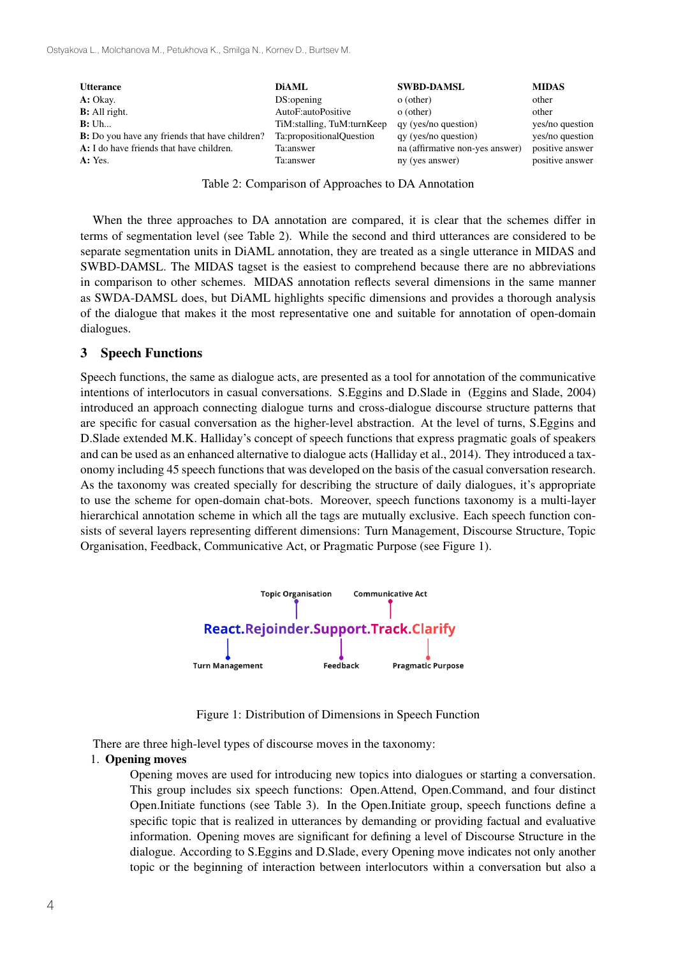| <b>Utterance</b><br>A: Okay.                           | <b>DiAML</b><br>DS:opening | <b>SWBD-DAMSL</b><br>o (other)  | <b>MIDAS</b><br>other |
|--------------------------------------------------------|----------------------------|---------------------------------|-----------------------|
| <b>B</b> : All right.                                  | AutoF:autoPositive         | o (other)                       | other                 |
| B: Uh                                                  | TiM:stalling, TuM:turnKeep | qy (yes/no question)            | yes/no question       |
| <b>B</b> : Do you have any friends that have children? | Ta:propositionalQuestion   | qy (yes/no question)            | yes/no question       |
| A: I do have friends that have children.               | Ta:answer                  | na (affirmative non-yes answer) | positive answer       |
| A: Yes.                                                | Ta:answer                  | ny (yes answer)                 | positive answer       |

Table 2: Comparison of Approaches to DA Annotation

terms of segmentation level (see Table 2). While the second and third utterances are considered to be separate segmentation units in DiAML annotation, they are treated as a single utterance in MIDAS and SWBD-DAMSL. The MIDAS tagset is the easiest to comprehend because there are no abbreviations in comparison to other schemes. MIDAS annotation reflects several dimensions in the same manner as SWDA-DAMSL does, but DiAML highlights specific dimensions and provides a thorough analysis of the dialogue that makes it the most representative one and suitable for annotation of open-domain dialogues. When the three approaches to DA annotation are compared, it is clear that the schemes differ in

## 3 Speech Functions

Speech functions, the same as dialogue acts, are presented as a tool for annotation of the communicative intentions of interlocutors in casual conversations. S.Eggins and D.Slade in (Eggins and Slade, 2004) introduced an approach connecting dialogue turns and cross-dialogue discourse structure patterns that are specific for casual conversation as the higher-level abstraction. At the level of turns, S.Eggins and D.Slade extended M.K. Halliday's concept of speech functions that express pragmatic goals of speakers and can be used as an enhanced alternative to dialogue acts (Halliday et al., 2014). They introduced a taxonomy including 45 speech functions that was developed on the basis of the casual conversation research. As the taxonomy was created specially for describing the structure of daily dialogues, it's appropriate to use the scheme for open-domain chat-bots. Moreover, speech functions taxonomy is a multi-layer hierarchical annotation scheme in which all the tags are mutually exclusive. Each speech function consists of several layers representing different dimensions: Turn Management, Discourse Structure, Topic Organisation, Feedback, Communicative Act, or Pragmatic Purpose (see Figure 1).



Figure 1: Distribution of Dimensions in Speech Function

There are three high-level types of discourse moves in the taxonomy:

## 1. Opening moves

Opening moves are used for introducing new topics into dialogues or starting a conversation. This group includes six speech functions: Open.Attend, Open.Command, and four distinct Open.Initiate functions (see Table 3). In the Open.Initiate group, speech functions define a specific topic that is realized in utterances by demanding or providing factual and evaluative information. Opening moves are significant for defining a level of Discourse Structure in the dialogue. According to S.Eggins and D.Slade, every Opening move indicates not only another topic or the beginning of interaction between interlocutors within a conversation but also a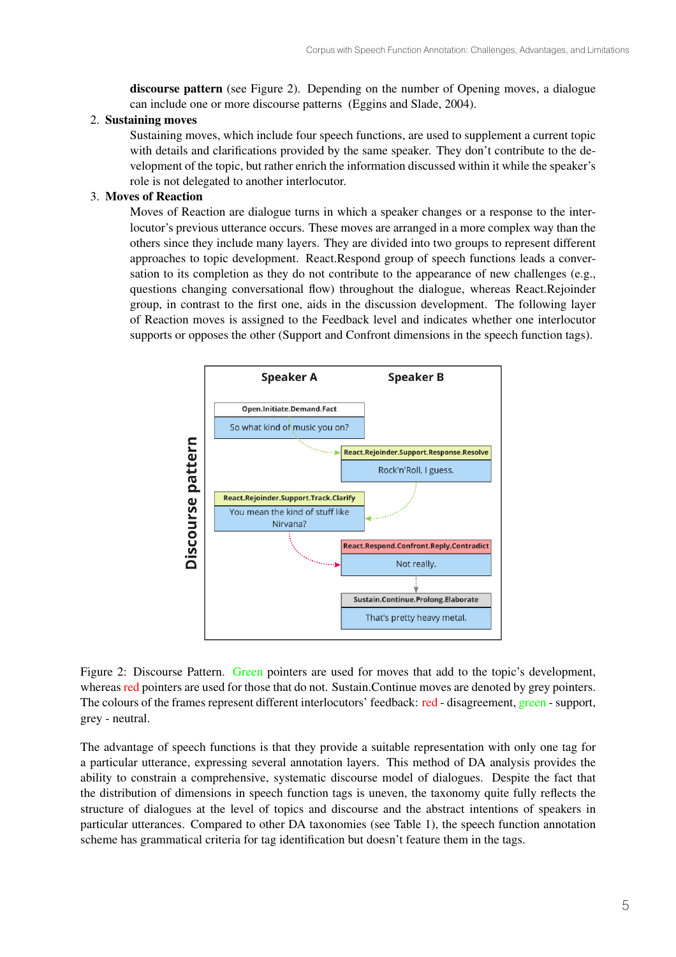discourse pattern (see Figure 2). Depending on the number of Opening moves, a dialogue can include one or more discourse patterns (Eggins and Slade, 2004).

## 2. Sustaining moves

Sustaining moves, which include four speech functions, are used to supplement a current topic with details and clarifications provided by the same speaker. They don't contribute to the development of the topic, but rather enrich the information discussed within it while the speaker's role is not delegated to another interlocutor.

## 3. Moves of Reaction

Moves of Reaction are dialogue turns in which a speaker changes or a response to the interlocutor's previous utterance occurs. These moves are arranged in a more complex way than the others since they include many layers. They are divided into two groups to represent different approaches to topic development. React.Respond group of speech functions leads a conversation to its completion as they do not contribute to the appearance of new challenges (e.g., questions changing conversational flow) throughout the dialogue, whereas React.Rejoinder group, in contrast to the first one, aids in the discussion development. The following layer of Reaction moves is assigned to the Feedback level and indicates whether one interlocutor supports or opposes the other (Support and Confront dimensions in the speech function tags).



Figure 2: Discourse Pattern. Green pointers are used for moves that add to the topic's development, whereas red pointers are used for those that do not. Sustain. Continue moves are denoted by grey pointers. The colours of the frames represent different interlocutors' feedback: red - disagreement, green - support, grey - neutral.

The advantage of speech functions is that they provide a suitable representation with only one tag for a particular utterance, expressing several annotation layers. This method of DA analysis provides the ability to constrain a comprehensive, systematic discourse model of dialogues. Despite the fact that the distribution of dimensions in speech function tags is uneven, the taxonomy quite fully reflects the structure of dialogues at the level of topics and discourse and the abstract intentions of speakers in particular utterances. Compared to other DA taxonomies (see Table 1), the speech function annotation scheme has grammatical criteria for tag identification but doesn't feature them in the tags.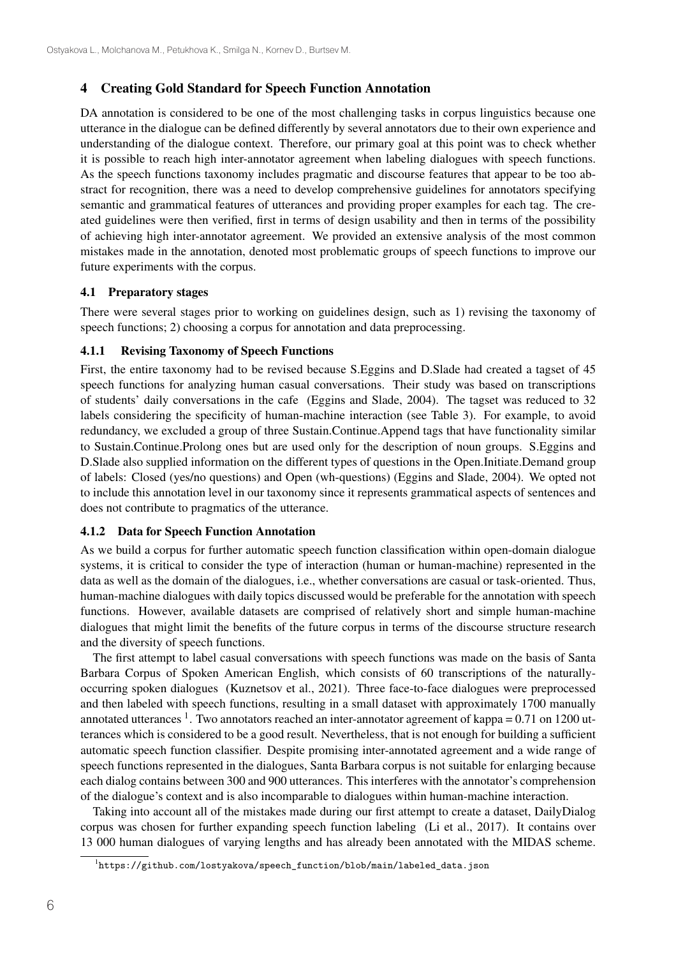## 4 Creating Gold Standard for Speech Function Annotation

DA annotation is considered to be one of the most challenging tasks in corpus linguistics because one utterance in the dialogue can be defined differently by several annotators due to their own experience and understanding of the dialogue context. Therefore, our primary goal at this point was to check whether it is possible to reach high inter-annotator agreement when labeling dialogues with speech functions. As the speech functions taxonomy includes pragmatic and discourse features that appear to be too abstract for recognition, there was a need to develop comprehensive guidelines for annotators specifying semantic and grammatical features of utterances and providing proper examples for each tag. The created guidelines were then verified, first in terms of design usability and then in terms of the possibility of achieving high inter-annotator agreement. We provided an extensive analysis of the most common mistakes made in the annotation, denoted most problematic groups of speech functions to improve our future experiments with the corpus.

#### 4.1 Preparatory stages

There were several stages prior to working on guidelines design, such as 1) revising the taxonomy of speech functions; 2) choosing a corpus for annotation and data preprocessing.

#### 4.1.1 Revising Taxonomy of Speech Functions

First, the entire taxonomy had to be revised because S.Eggins and D.Slade had created a tagset of 45 speech functions for analyzing human casual conversations. Their study was based on transcriptions of students' daily conversations in the cafe (Eggins and Slade, 2004). The tagset was reduced to 32 labels considering the specificity of human-machine interaction (see Table 3). For example, to avoid redundancy, we excluded a group of three Sustain.Continue.Append tags that have functionality similar to Sustain.Continue.Prolong ones but are used only for the description of noun groups. S.Eggins and D.Slade also supplied information on the different types of questions in the Open.Initiate.Demand group of labels: Closed (yes/no questions) and Open (wh-questions) (Eggins and Slade, 2004). We opted not to include this annotation level in our taxonomy since it represents grammatical aspects of sentences and does not contribute to pragmatics of the utterance.

#### 4.1.2 Data for Speech Function Annotation

As we build a corpus for further automatic speech function classification within open-domain dialogue systems, it is critical to consider the type of interaction (human or human-machine) represented in the data as well as the domain of the dialogues, i.e., whether conversations are casual or task-oriented. Thus, human-machine dialogues with daily topics discussed would be preferable for the annotation with speech functions. However, available datasets are comprised of relatively short and simple human-machine dialogues that might limit the benefits of the future corpus in terms of the discourse structure research and the diversity of speech functions.

The first attempt to label casual conversations with speech functions was made on the basis of Santa Barbara Corpus of Spoken American English, which consists of 60 transcriptions of the naturallyoccurring spoken dialogues (Kuznetsov et al., 2021). Three face-to-face dialogues were preprocessed and then labeled with speech functions, resulting in a small dataset with approximately 1700 manually annotated utterances  $1$ . Two annotators reached an inter-annotator agreement of kappa = 0.71 on 1200 utterances which is considered to be a good result. Nevertheless, that is not enough for building a sufficient automatic speech function classifier. Despite promising inter-annotated agreement and a wide range of speech functions represented in the dialogues, Santa Barbara corpus is not suitable for enlarging because each dialog contains between 300 and 900 utterances. This interferes with the annotator's comprehension of the dialogue's context and is also incomparable to dialogues within human-machine interaction.

Taking into account all of the mistakes made during our first attempt to create a dataset, DailyDialog corpus was chosen for further expanding speech function labeling (Li et al., 2017). It contains over 13 000 human dialogues of varying lengths and has already been annotated with the MIDAS scheme.

<sup>&</sup>lt;sup>1</sup>https://github.com/lostyakova/speech\_function/blob/main/labeled\_data.json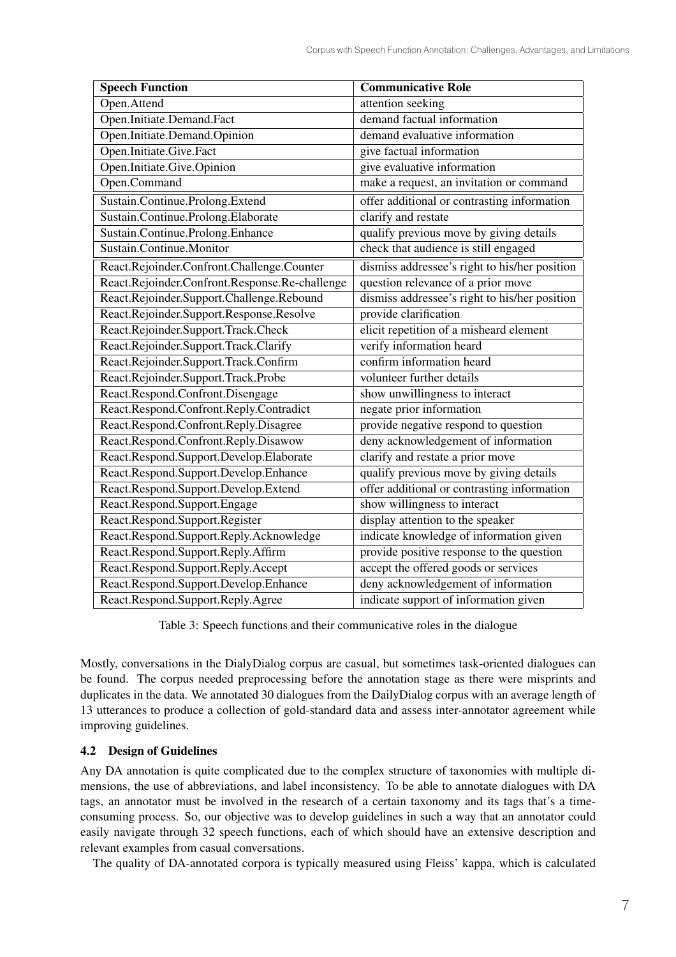| <b>Speech Function</b>                         | <b>Communicative Role</b>                     |
|------------------------------------------------|-----------------------------------------------|
| Open.Attend                                    | attention seeking                             |
| Open.Initiate.Demand.Fact                      | demand factual information                    |
| Open.Initiate.Demand.Opinion                   | demand evaluative information                 |
| Open.Initiate.Give.Fact                        | give factual information                      |
| Open.Initiate.Give.Opinion                     | give evaluative information                   |
| Open.Command                                   | make a request, an invitation or command      |
| Sustain.Continue.Prolong.Extend                | offer additional or contrasting information   |
| Sustain.Continue.Prolong.Elaborate             | clarify and restate                           |
| Sustain.Continue.Prolong.Enhance               | qualify previous move by giving details       |
| Sustain.Continue.Monitor                       | check that audience is still engaged          |
| React.Rejoinder.Confront.Challenge.Counter     | dismiss addressee's right to his/her position |
| React.Rejoinder.Confront.Response.Re-challenge | question relevance of a prior move            |
| React.Rejoinder.Support.Challenge.Rebound      | dismiss addressee's right to his/her position |
| React.Rejoinder.Support.Response.Resolve       | provide clarification                         |
| React.Rejoinder.Support.Track.Check            | elicit repetition of a misheard element       |
| React.Rejoinder.Support.Track.Clarify          | verify information heard                      |
| React.Rejoinder.Support.Track.Confirm          | confirm information heard                     |
| React.Rejoinder.Support.Track.Probe            | volunteer further details                     |
| React.Respond.Confront.Disengage               | show unwillingness to interact                |
| React.Respond.Confront.Reply.Contradict        | negate prior information                      |
| React.Respond.Confront.Reply.Disagree          | provide negative respond to question          |
| React.Respond.Confront.Reply.Disawow           | deny acknowledgement of information           |
| React.Respond.Support.Develop.Elaborate        | clarify and restate a prior move              |
| React.Respond.Support.Develop.Enhance          | qualify previous move by giving details       |
| React.Respond.Support.Develop.Extend           | offer additional or contrasting information   |
| React.Respond.Support.Engage                   | show willingness to interact                  |
| React.Respond.Support.Register                 | display attention to the speaker              |
| React.Respond.Support.Reply.Acknowledge        | indicate knowledge of information given       |
| React.Respond.Support.Reply.Affirm             | provide positive response to the question     |
| React.Respond.Support.Reply.Accept             | accept the offered goods or services          |
| React.Respond.Support.Develop.Enhance          | deny acknowledgement of information           |
| React.Respond.Support.Reply.Agree              | indicate support of information given         |

Table 3: Speech functions and their communicative roles in the dialogue

Mostly, conversations in the DialyDialog corpus are casual, but sometimes task-oriented dialogues can be found. The corpus needed preprocessing before the annotation stage as there were misprints and duplicates in the data. We annotated 30 dialogues from the DailyDialog corpus with an average length of 13 utterances to produce a collection of gold-standard data and assess inter-annotator agreement while improving guidelines.

## 4.2 Design of Guidelines

Any DA annotation is quite complicated due to the complex structure of taxonomies with multiple dimensions, the use of abbreviations, and label inconsistency. To be able to annotate dialogues with DA tags, an annotator must be involved in the research of a certain taxonomy and its tags that's a timeconsuming process. So, our objective was to develop guidelines in such a way that an annotator could easily navigate through 32 speech functions, each of which should have an extensive description and relevant examples from casual conversations.

The quality of DA-annotated corpora is typically measured using Fleiss' kappa, which is calculated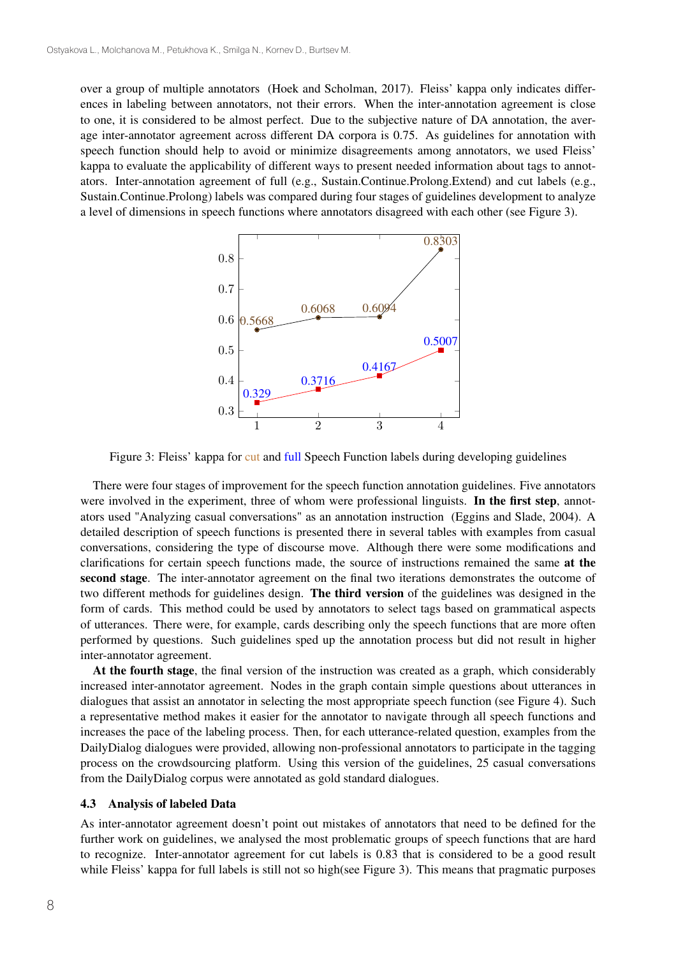over a group of multiple annotators (Hoek and Scholman, 2017). Fleiss' kappa only indicates differences in labeling between annotators, not their errors. When the inter-annotation agreement is close to one, it is considered to be almost perfect. Due to the subjective nature of DA annotation, the average inter-annotator agreement across different DA corpora is 0.75. As guidelines for annotation with speech function should help to avoid or minimize disagreements among annotators, we used Fleiss' kappa to evaluate the applicability of different ways to present needed information about tags to annotators. Inter-annotation agreement of full (e.g., Sustain.Continue.Prolong.Extend) and cut labels (e.g., Sustain.Continue.Prolong) labels was compared during four stages of guidelines development to analyze a level of dimensions in speech functions where annotators disagreed with each other (see Figure 3).



Figure 3: Fleiss' kappa for cut and full Speech Function labels during developing guidelines

There were four stages of improvement for the speech function annotation guidelines. Five annotators were involved in the experiment, three of whom were professional linguists. In the first step, annotators used "Analyzing casual conversations" as an annotation instruction (Eggins and Slade, 2004). A detailed description of speech functions is presented there in several tables with examples from casual conversations, considering the type of discourse move. Although there were some modifications and clarifications for certain speech functions made, the source of instructions remained the same at the second stage. The inter-annotator agreement on the final two iterations demonstrates the outcome of two different methods for guidelines design. The third version of the guidelines was designed in the form of cards. This method could be used by annotators to select tags based on grammatical aspects of utterances. There were, for example, cards describing only the speech functions that are more often performed by questions. Such guidelines sped up the annotation process but did not result in higher inter-annotator agreement.

At the fourth stage, the final version of the instruction was created as a graph, which considerably increased inter-annotator agreement. Nodes in the graph contain simple questions about utterances in dialogues that assist an annotator in selecting the most appropriate speech function (see Figure 4). Such a representative method makes it easier for the annotator to navigate through all speech functions and increases the pace of the labeling process. Then, for each utterance-related question, examples from the DailyDialog dialogues were provided, allowing non-professional annotators to participate in the tagging process on the crowdsourcing platform. Using this version of the guidelines, 25 casual conversations from the DailyDialog corpus were annotated as gold standard dialogues.

#### 4.3 Analysis of labeled Data

As inter-annotator agreement doesn't point out mistakes of annotators that need to be defined for the further work on guidelines, we analysed the most problematic groups of speech functions that are hard to recognize. Inter-annotator agreement for cut labels is 0.83 that is considered to be a good result while Fleiss' kappa for full labels is still not so high(see Figure 3). This means that pragmatic purposes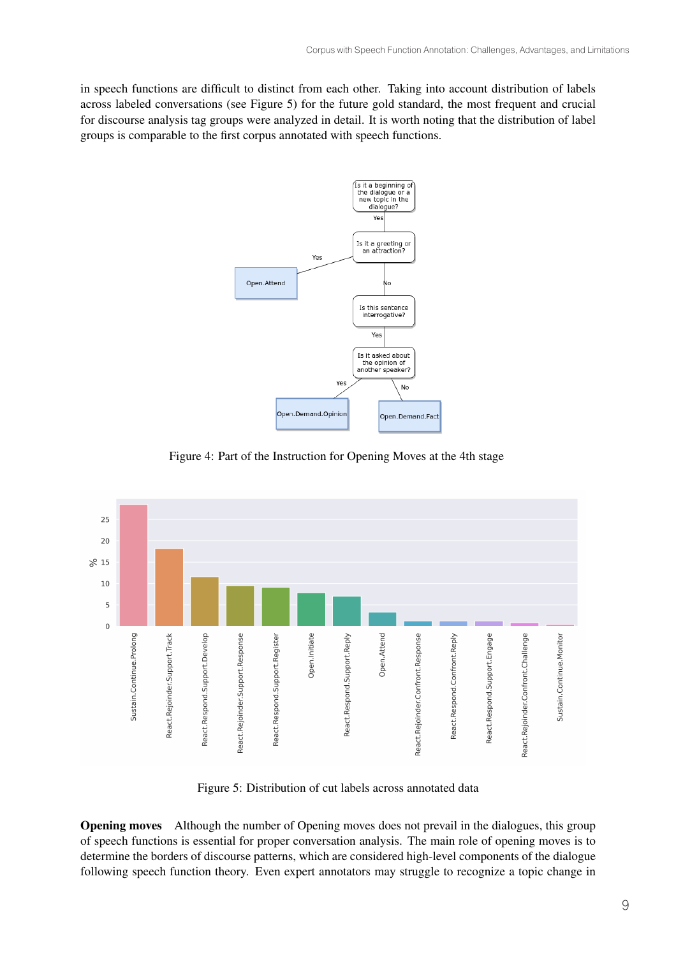in speech functions are difficult to distinct from each other. Taking into account distribution of labels across labeled conversations (see Figure 5) for the future gold standard, the most frequent and crucial for discourse analysis tag groups were analyzed in detail. It is worth noting that the distribution of label groups is comparable to the first corpus annotated with speech functions.



Figure 4: Part of the Instruction for Opening Moves at the 4th stage



Figure 5: Distribution of cut labels across annotated data

Opening moves Although the number of Opening moves does not prevail in the dialogues, this group of speech functions is essential for proper conversation analysis. The main role of opening moves is to determine the borders of discourse patterns, which are considered high-level components of the dialogue following speech function theory. Even expert annotators may struggle to recognize a topic change in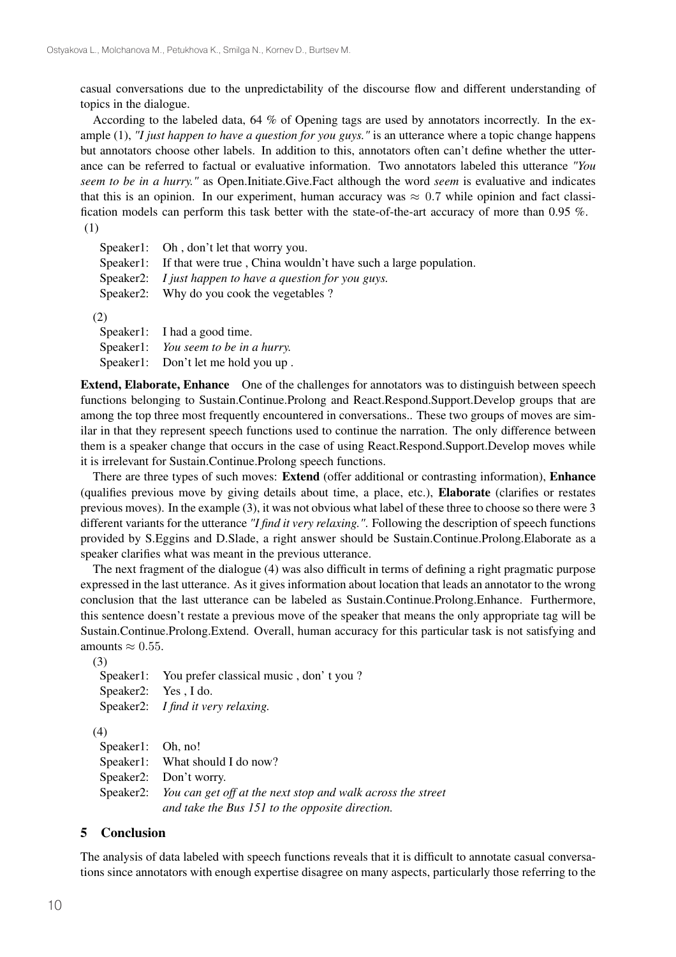casual conversations due to the unpredictability of the discourse flow and different understanding of topics in the dialogue.

According to the labeled data, 64 % of Opening tags are used by annotators incorrectly. In the example (1), *"I just happen to have a question for you guys."* is an utterance where a topic change happens but annotators choose other labels. In addition to this, annotators often can't define whether the utterance can be referred to factual or evaluative information. Two annotators labeled this utterance *"You seem to be in a hurry."* as Open.Initiate.Give.Fact although the word *seem* is evaluative and indicates that this is an opinion. In our experiment, human accuracy was  $\approx 0.7$  while opinion and fact classification models can perform this task better with the state-of-the-art accuracy of more than 0.95 %. (1)

| Speaker1: Oh, don't let that worry you.                                   |
|---------------------------------------------------------------------------|
| Speaker1: If that were true, China wouldn't have such a large population. |
| Speaker2: <i>I just happen to have a question for you guys.</i>           |
| Speaker2: Why do you cook the vegetables ?                                |
|                                                                           |

(2)

Speaker1: I had a good time. Speaker1: *You seem to be in a hurry.* Speaker1: Don't let me hold you up .

Extend, Elaborate, Enhance One of the challenges for annotators was to distinguish between speech functions belonging to Sustain.Continue.Prolong and React.Respond.Support.Develop groups that are among the top three most frequently encountered in conversations.. These two groups of moves are similar in that they represent speech functions used to continue the narration. The only difference between them is a speaker change that occurs in the case of using React.Respond.Support.Develop moves while it is irrelevant for Sustain.Continue.Prolong speech functions.

There are three types of such moves: Extend (offer additional or contrasting information), Enhance (qualifies previous move by giving details about time, a place, etc.), Elaborate (clarifies or restates previous moves). In the example (3), it was not obvious what label of these three to choose so there were 3 different variants for the utterance *"I find it very relaxing."*. Following the description of speech functions provided by S.Eggins and D.Slade, a right answer should be Sustain.Continue.Prolong.Elaborate as a speaker clarifies what was meant in the previous utterance.

The next fragment of the dialogue (4) was also difficult in terms of defining a right pragmatic purpose expressed in the last utterance. As it gives information about location that leads an annotator to the wrong conclusion that the last utterance can be labeled as Sustain.Continue.Prolong.Enhance. Furthermore, this sentence doesn't restate a previous move of the speaker that means the only appropriate tag will be Sustain.Continue.Prolong.Extend. Overall, human accuracy for this particular task is not satisfying and amounts  $\approx 0.55$ .

(3)

|                   | Speaker1: You prefer classical music, don't you? |
|-------------------|--------------------------------------------------|
|                   | Speaker2: Yes, I do.                             |
|                   | Speaker2: I find it very relaxing.               |
| (4)               |                                                  |
| Speaker1: Oh, no! |                                                  |
|                   | Speaker1: What should I do now?                  |
|                   | Speaker2: Don't worry.                           |
|                   |                                                  |

Speaker2: *You can get off at the next stop and walk across the street and take the Bus 151 to the opposite direction.*

#### 5 Conclusion

The analysis of data labeled with speech functions reveals that it is difficult to annotate casual conversations since annotators with enough expertise disagree on many aspects, particularly those referring to the